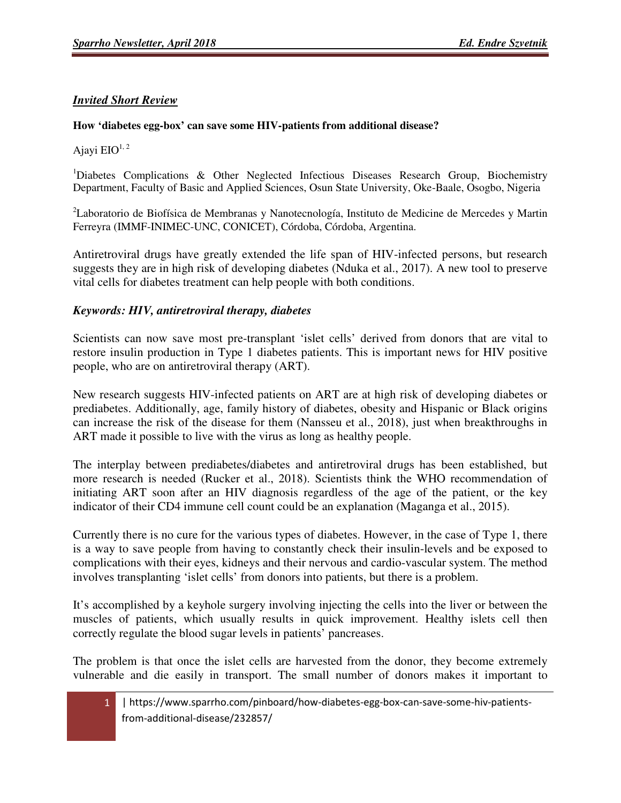## *Invited Short Review*

## **How 'diabetes egg-box' can save some HIV-patients from additional disease?**

Ajayi  $EIO^{1, 2}$ 

<sup>1</sup>Diabetes Complications & Other Neglected Infectious Diseases Research Group, Biochemistry Department, Faculty of Basic and Applied Sciences, Osun State University, Oke-Baale, Osogbo, Nigeria

<sup>2</sup>Laboratorio de Biofísica de Membranas y Nanotecnología, Instituto de Medicine de Mercedes y Martin Ferreyra (IMMF-INIMEC-UNC, CONICET), Córdoba, Córdoba, Argentina.

Antiretroviral drugs have greatly extended the life span of HIV-infected persons, but research suggests they are in high risk of developing diabetes (Nduka et al., 2017). A new tool to preserve vital cells for diabetes treatment can help people with both conditions.

## *Keywords: HIV, antiretroviral therapy, diabetes*

Scientists can now save most pre-transplant 'islet cells' derived from donors that are vital to restore insulin production in Type 1 diabetes patients. This is important news for HIV positive people, who are on antiretroviral therapy (ART).

New research suggests HIV-infected patients on ART are at high risk of developing diabetes or prediabetes. Additionally, age, family history of diabetes, obesity and Hispanic or Black origins can increase the risk of the disease for them (Nansseu et al., 2018), just when breakthroughs in ART made it possible to live with the virus as long as healthy people.

The interplay between prediabetes/diabetes and antiretroviral drugs has been established, but more research is needed (Rucker et al., 2018). Scientists think the WHO recommendation of initiating ART soon after an HIV diagnosis regardless of the age of the patient, or the key indicator of their CD4 immune cell count could be an explanation (Maganga et al., 2015).

Currently there is no cure for the various types of diabetes. However, in the case of Type 1, there is a way to save people from having to constantly check their insulin-levels and be exposed to complications with their eyes, kidneys and their nervous and cardio-vascular system. The method involves transplanting 'islet cells' from donors into patients, but there is a problem.

It's accomplished by a keyhole surgery involving injecting the cells into the liver or between the muscles of patients, which usually results in quick improvement. Healthy islets cell then correctly regulate the blood sugar levels in patients' pancreases.

The problem is that once the islet cells are harvested from the donor, they become extremely vulnerable and die easily in transport. The small number of donors makes it important to